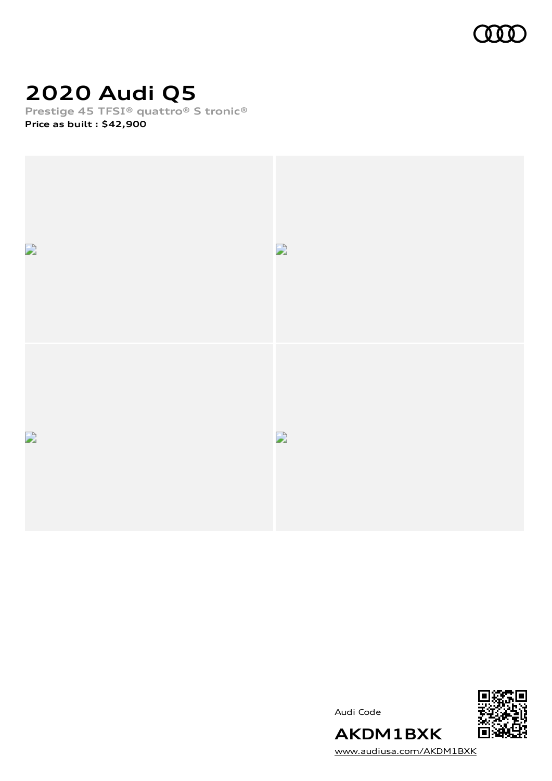

# **2020 Audi Q5**

**Prestige 45 TFSI® quattro® S tronic®**

**Price as built [:](#page-8-0) \$42,900**



Audi Code



[www.audiusa.com/AKDM1BXK](https://www.audiusa.com/AKDM1BXK)

**AKDM1BXK**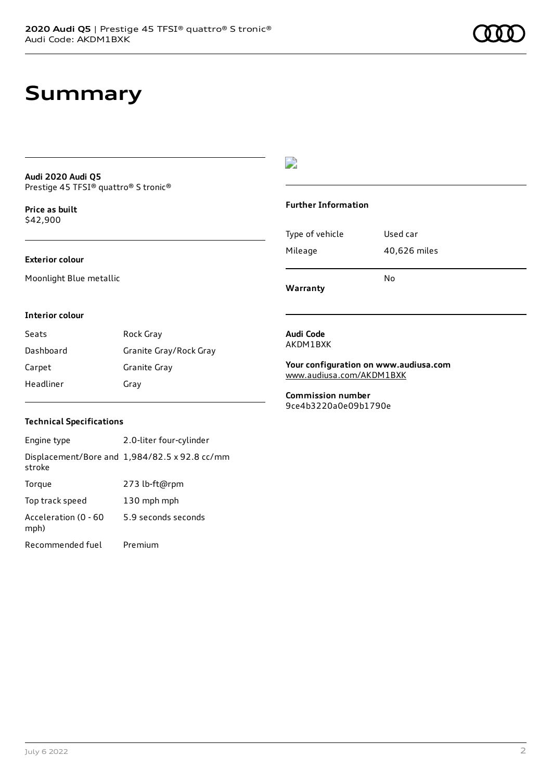## **Summary**

#### **Audi 2020 Audi Q5** Prestige 45 TFSI® quattro® S tronic®

**Price as buil[t](#page-8-0)** \$42,900

#### **Exterior colour**

Moonlight Blue metallic

## D

#### **Further Information**

Type of vehicle Used car Mileage 40,626 miles No

**Warranty**

#### **Interior colour**

Seats Rock Gray Dashboard Granite Gray/Rock Gray Carpet Granite Gray Headliner Gray

#### **Audi Code** AKDM1BXK

**Your configuration on www.audiusa.com**

[www.audiusa.com/AKDM1BXK](https://www.audiusa.com/AKDM1BXK)

**Commission number** 9ce4b3220a0e09b1790e

### **Technical Specifications**

Engine type 2.0-liter four-cylinder Displacement/Bore and 1,984/82.5 x 92.8 cc/mm stroke Torque 273 lb-ft@rpm Top track speed 130 mph mph Acceleration (0 - 60 mph) 5.9 seconds seconds Recommended fuel Premium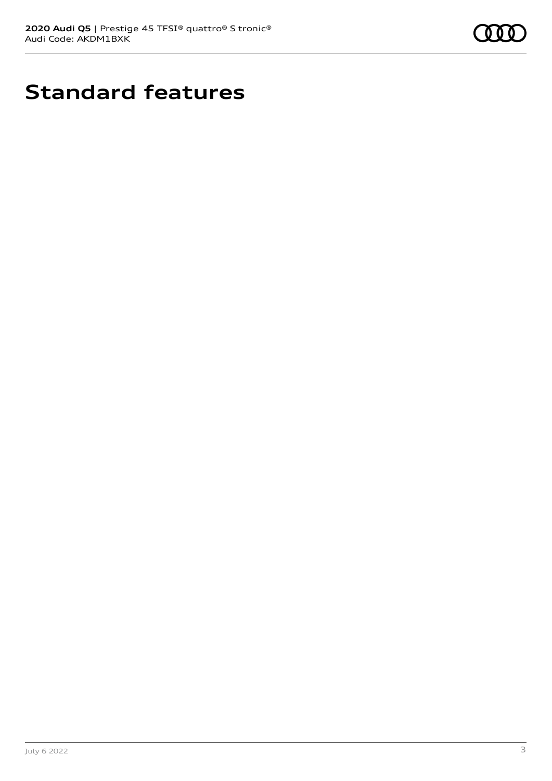

# **Standard features**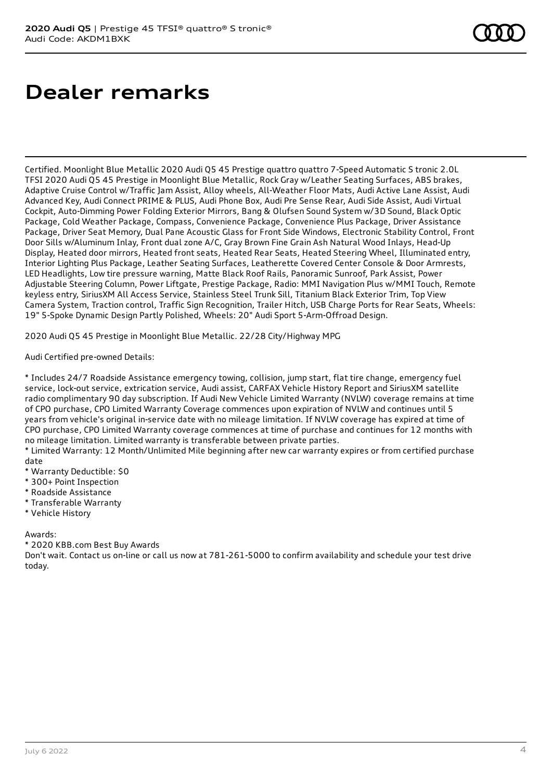# **Dealer remarks**

Certified. Moonlight Blue Metallic 2020 Audi Q5 45 Prestige quattro quattro 7-Speed Automatic S tronic 2.0L TFSI 2020 Audi Q5 45 Prestige in Moonlight Blue Metallic, Rock Gray w/Leather Seating Surfaces, ABS brakes, Adaptive Cruise Control w/Traffic Jam Assist, Alloy wheels, All-Weather Floor Mats, Audi Active Lane Assist, Audi Advanced Key, Audi Connect PRIME & PLUS, Audi Phone Box, Audi Pre Sense Rear, Audi Side Assist, Audi Virtual Cockpit, Auto-Dimming Power Folding Exterior Mirrors, Bang & Olufsen Sound System w/3D Sound, Black Optic Package, Cold Weather Package, Compass, Convenience Package, Convenience Plus Package, Driver Assistance Package, Driver Seat Memory, Dual Pane Acoustic Glass for Front Side Windows, Electronic Stability Control, Front Door Sills w/Aluminum Inlay, Front dual zone A/C, Gray Brown Fine Grain Ash Natural Wood Inlays, Head-Up Display, Heated door mirrors, Heated front seats, Heated Rear Seats, Heated Steering Wheel, Illuminated entry, Interior Lighting Plus Package, Leather Seating Surfaces, Leatherette Covered Center Console & Door Armrests, LED Headlights, Low tire pressure warning, Matte Black Roof Rails, Panoramic Sunroof, Park Assist, Power Adjustable Steering Column, Power Liftgate, Prestige Package, Radio: MMI Navigation Plus w/MMI Touch, Remote keyless entry, SiriusXM All Access Service, Stainless Steel Trunk Sill, Titanium Black Exterior Trim, Top View Camera System, Traction control, Traffic Sign Recognition, Trailer Hitch, USB Charge Ports for Rear Seats, Wheels: 19" 5-Spoke Dynamic Design Partly Polished, Wheels: 20" Audi Sport 5-Arm-Offroad Design.

2020 Audi Q5 45 Prestige in Moonlight Blue Metallic. 22/28 City/Highway MPG

Audi Certified pre-owned Details:

\* Includes 24/7 Roadside Assistance emergency towing, collision, jump start, flat tire change, emergency fuel service, lock-out service, extrication service, Audi assist, CARFAX Vehicle History Report and SiriusXM satellite radio complimentary 90 day subscription. If Audi New Vehicle Limited Warranty (NVLW) coverage remains at time of CPO purchase, CPO Limited Warranty Coverage commences upon expiration of NVLW and continues until 5 years from vehicle's original in-service date with no mileage limitation. If NVLW coverage has expired at time of CPO purchase, CPO Limited Warranty coverage commences at time of purchase and continues for 12 months with no mileage limitation. Limited warranty is transferable between private parties.

\* Limited Warranty: 12 Month/Unlimited Mile beginning after new car warranty expires or from certified purchase date

- \* Warranty Deductible: \$0
- \* 300+ Point Inspection
- \* Roadside Assistance
- \* Transferable Warranty
- \* Vehicle History

Awards:

\* 2020 KBB.com Best Buy Awards

Don't wait. Contact us on-line or call us now at 781-261-5000 to confirm availability and schedule your test drive today.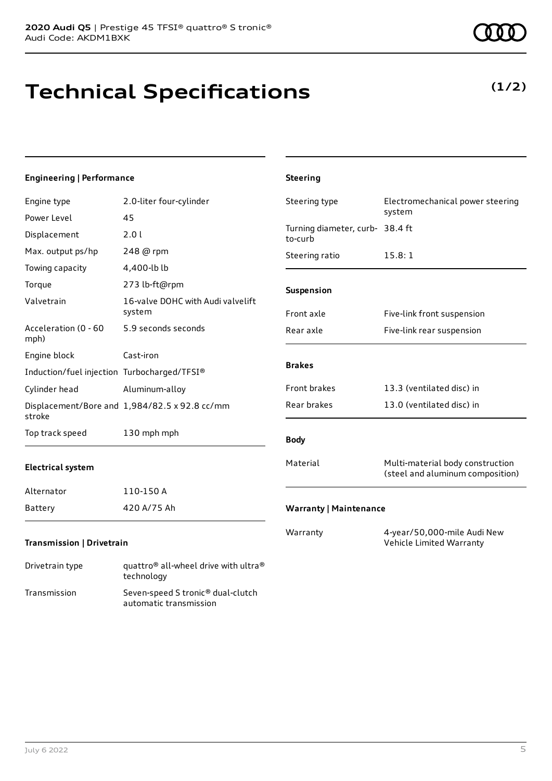# **Technical Specifications**

## **Engineering | Performance**

| Engine type                                 | 2.0-liter four-cylinder                                      | Steering type                              | Electromechanical power steering                                     |
|---------------------------------------------|--------------------------------------------------------------|--------------------------------------------|----------------------------------------------------------------------|
| Power Level                                 | 45                                                           |                                            | system                                                               |
| Displacement                                | 2.0 l                                                        | Turning diameter, curb- 38.4 ft<br>to-curb |                                                                      |
| Max. output ps/hp                           | 248 @ rpm                                                    | Steering ratio                             | 15.8:1                                                               |
| Towing capacity                             | 4,400-lb lb                                                  |                                            |                                                                      |
| Torque                                      | 273 lb-ft@rpm                                                | Suspension                                 |                                                                      |
| Valvetrain                                  | 16-valve DOHC with Audi valvelift<br>system                  | Front axle                                 | Five-link front suspension                                           |
| Acceleration (0 - 60<br>mph)                | 5.9 seconds seconds                                          | Rear axle                                  | Five-link rear suspension                                            |
| Engine block                                | Cast-iron                                                    |                                            |                                                                      |
| Induction/fuel injection Turbocharged/TFSI® |                                                              | <b>Brakes</b>                              |                                                                      |
| Cylinder head                               | Aluminum-alloy                                               | Front brakes                               | 13.3 (ventilated disc) in                                            |
| stroke                                      | Displacement/Bore and 1,984/82.5 x 92.8 cc/mm                | Rear brakes                                | 13.0 (ventilated disc) in                                            |
| Top track speed                             | 130 mph mph                                                  | <b>Body</b>                                |                                                                      |
| <b>Electrical system</b>                    |                                                              | Material                                   | Multi-material body construction<br>(steel and aluminum composition) |
| Alternator                                  | 110-150 A                                                    |                                            |                                                                      |
| Battery                                     | 420 A/75 Ah                                                  | <b>Warranty   Maintenance</b>              |                                                                      |
| <b>Transmission   Drivetrain</b>            |                                                              | Warranty                                   | 4-year/50,000-mile Audi New<br>Vehicle Limited Warranty              |
| Drivetrain type                             | quattro <sup>®</sup> all-wheel drive with ultra <sup>®</sup> |                                            |                                                                      |

**Steering**

automatic transmission

technology Transmission Seven-speed S tronic® dual-clutch



**(1/2)**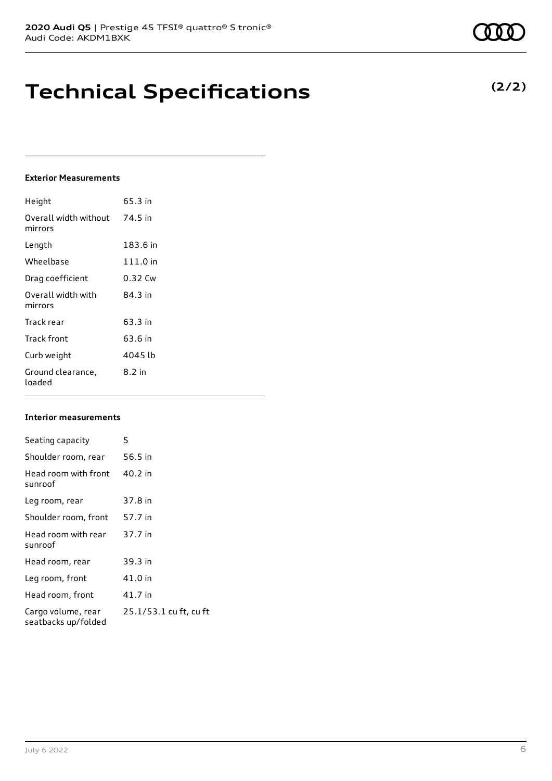# **Technical Specifications**

### **Exterior Measurements**

| Height                           | 65.3 in  |
|----------------------------------|----------|
| Overall width without<br>mirrors | 74.5 in  |
| Length                           | 183.6 in |
| Wheelbase                        | 111.0 in |
| Drag coefficient                 | 0.32 Cw  |
| Overall width with<br>mirrors    | 84.3 in  |
| Track rear                       | 63.3 in  |
| Track front                      | 63.6 in  |
| Curb weight                      | 4045 lb  |
| Ground clearance,<br>loaded      | $8.2$ in |

### **Interior measurements**

| Seating capacity                          | 5                      |
|-------------------------------------------|------------------------|
| Shoulder room, rear                       | 56.5 in                |
| Head room with front<br>sunroof           | 40.2 in                |
| Leg room, rear                            | 37.8 in                |
| Shoulder room, front                      | 57.7 in                |
| Head room with rear<br>sunroof            | 37.7 in                |
| Head room, rear                           | 39.3 in                |
| Leg room, front                           | 41.0 in                |
| Head room, front                          | 41.7 in                |
| Cargo volume, rear<br>seatbacks up/folded | 25.1/53.1 cu ft, cu ft |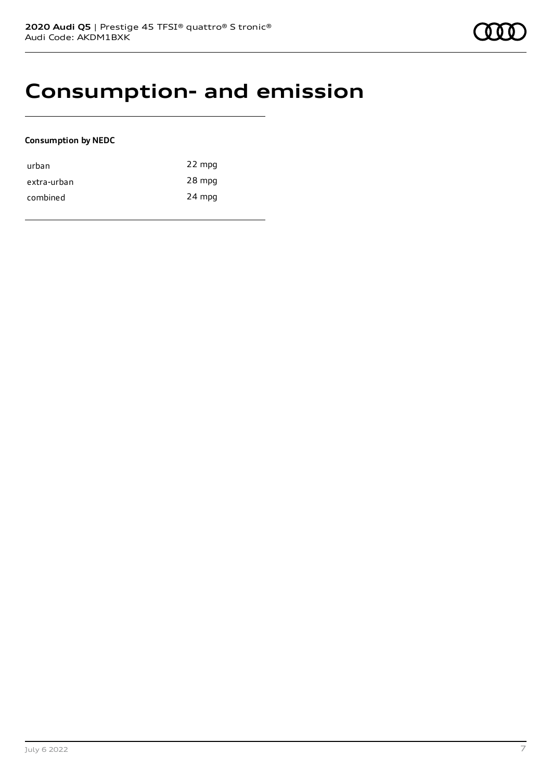## **Consumption- and emission**

### **Consumption by NEDC**

| urban       | 22 mpg |
|-------------|--------|
| extra-urban | 28 mpg |
| combined    | 24 mpg |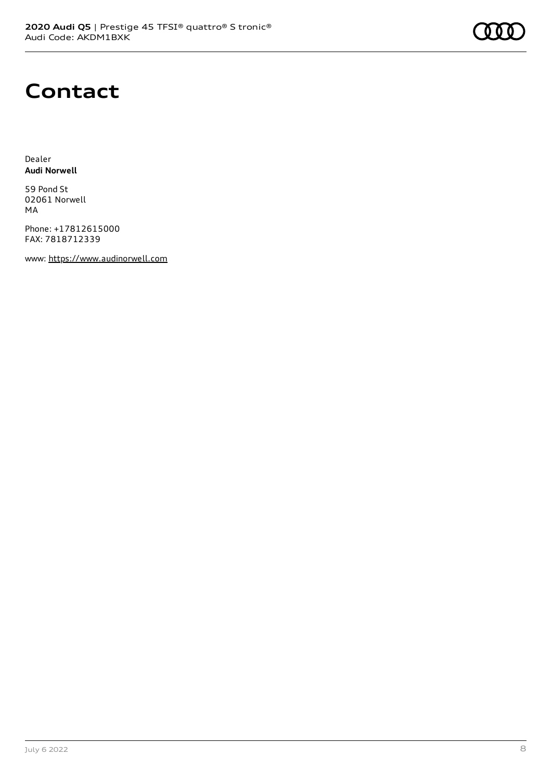# **Contact**

Dealer **Audi Norwell**

59 Pond St 02061 Norwell MA

Phone: +17812615000 FAX: 7818712339

www: [https://www.audinorwell.com](https://www.audinorwell.com/)